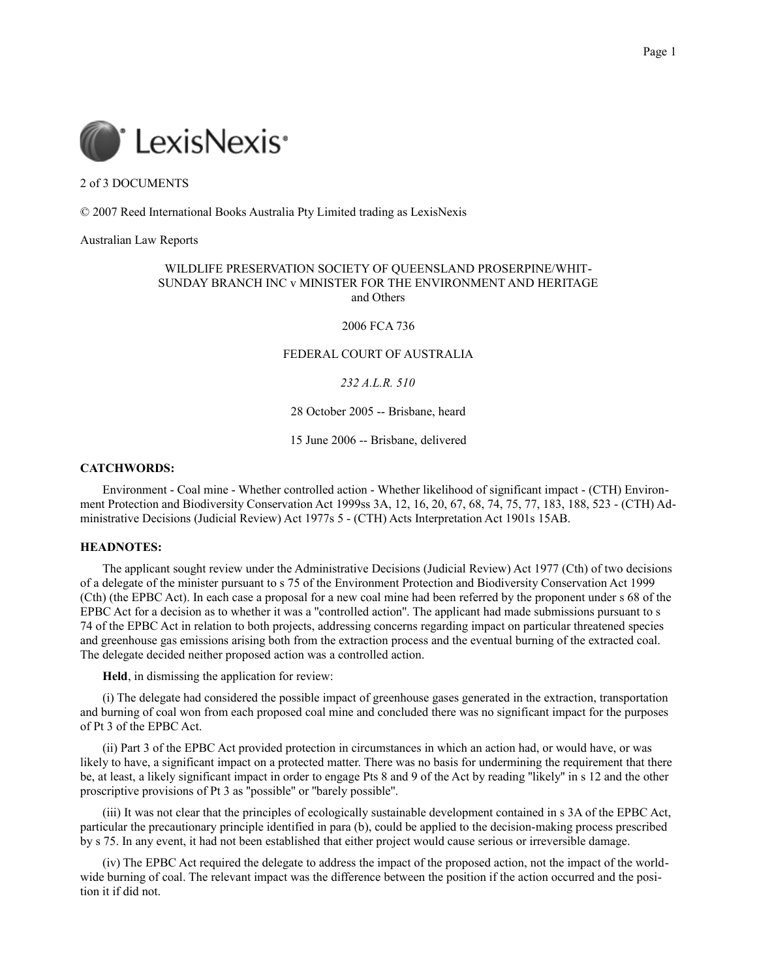

2 of 3 DOCUMENTS

© 2007 Reed International Books Australia Pty Limited trading as LexisNexis

Australian Law Reports

## WILDLIFE PRESERVATION SOCIETY OF QUEENSLAND PROSERPINE/WHIT-SUNDAY BRANCH INC v MINISTER FOR THE ENVIRONMENT AND HERITAGE and Others

2006 FCA 736

# FEDERAL COURT OF AUSTRALIA

# *232 A.L.R. 510*

28 October 2005 -- Brisbane, heard

15 June 2006 -- Brisbane, delivered

# **CATCHWORDS:**

Environment - Coal mine - Whether controlled action - Whether likelihood of significant impact - (CTH) Environment Protection and Biodiversity Conservation Act 1999ss 3A, 12, 16, 20, 67, 68, 74, 75, 77, 183, 188, 523 - (CTH) Administrative Decisions (Judicial Review) Act 1977s 5 - (CTH) Acts Interpretation Act 1901s 15AB.

#### **HEADNOTES:**

The applicant sought review under the Administrative Decisions (Judicial Review) Act 1977 (Cth) of two decisions of a delegate of the minister pursuant to s 75 of the Environment Protection and Biodiversity Conservation Act 1999 (Cth) (the EPBC Act). In each case a proposal for a new coal mine had been referred by the proponent under s 68 of the EPBC Act for a decision as to whether it was a ''controlled action''. The applicant had made submissions pursuant to s 74 of the EPBC Act in relation to both projects, addressing concerns regarding impact on particular threatened species and greenhouse gas emissions arising both from the extraction process and the eventual burning of the extracted coal. The delegate decided neither proposed action was a controlled action.

**Held**, in dismissing the application for review:

(i) The delegate had considered the possible impact of greenhouse gases generated in the extraction, transportation and burning of coal won from each proposed coal mine and concluded there was no significant impact for the purposes of Pt 3 of the EPBC Act.

(ii) Part 3 of the EPBC Act provided protection in circumstances in which an action had, or would have, or was likely to have, a significant impact on a protected matter. There was no basis for undermining the requirement that there be, at least, a likely significant impact in order to engage Pts 8 and 9 of the Act by reading ''likely'' in s 12 and the other proscriptive provisions of Pt 3 as ''possible'' or ''barely possible''.

(iii) It was not clear that the principles of ecologically sustainable development contained in s 3A of the EPBC Act, particular the precautionary principle identified in para (b), could be applied to the decision-making process prescribed by s 75. In any event, it had not been established that either project would cause serious or irreversible damage.

(iv) The EPBC Act required the delegate to address the impact of the proposed action, not the impact of the worldwide burning of coal. The relevant impact was the difference between the position if the action occurred and the position it if did not.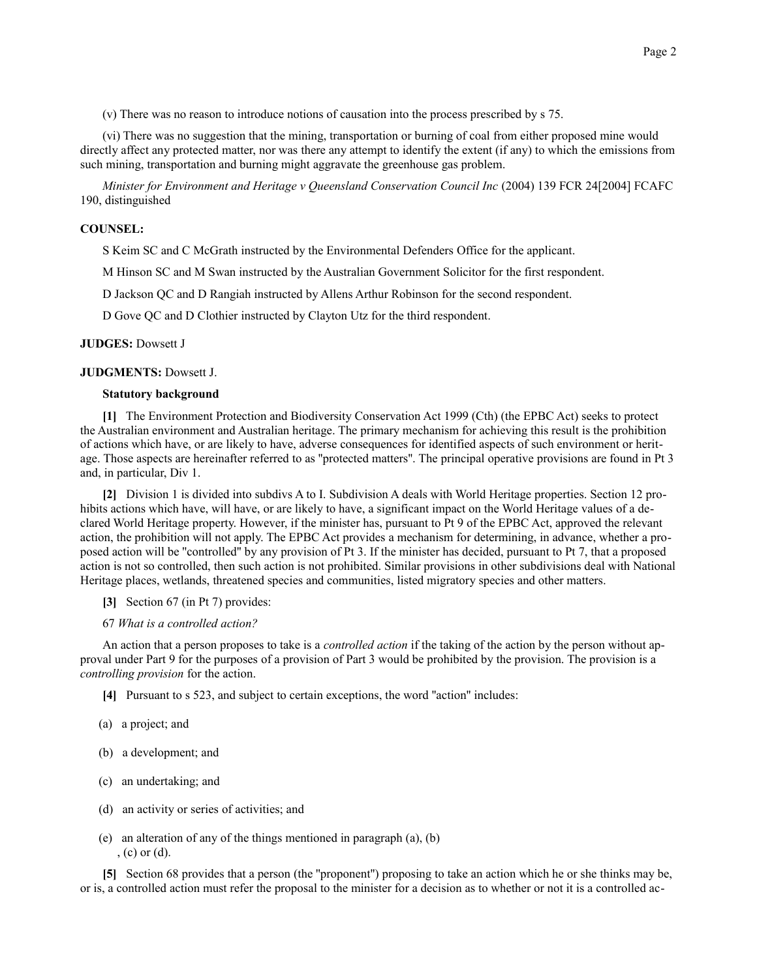(v) There was no reason to introduce notions of causation into the process prescribed by s 75.

(vi) There was no suggestion that the mining, transportation or burning of coal from either proposed mine would directly affect any protected matter, nor was there any attempt to identify the extent (if any) to which the emissions from such mining, transportation and burning might aggravate the greenhouse gas problem.

*Minister for Environment and Heritage v Queensland Conservation Council Inc* (2004) 139 FCR 24[2004] FCAFC 190, distinguished

### **COUNSEL:**

S Keim SC and C McGrath instructed by the Environmental Defenders Office for the applicant.

M Hinson SC and M Swan instructed by the Australian Government Solicitor for the first respondent.

D Jackson QC and D Rangiah instructed by Allens Arthur Robinson for the second respondent.

D Gove QC and D Clothier instructed by Clayton Utz for the third respondent.

### **JUDGES:** Dowsett J

## **JUDGMENTS:** Dowsett J.

### **Statutory background**

**[1]** The Environment Protection and Biodiversity Conservation Act 1999 (Cth) (the EPBC Act) seeks to protect the Australian environment and Australian heritage. The primary mechanism for achieving this result is the prohibition of actions which have, or are likely to have, adverse consequences for identified aspects of such environment or heritage. Those aspects are hereinafter referred to as ''protected matters''. The principal operative provisions are found in Pt 3 and, in particular, Div 1.

**[2]** Division 1 is divided into subdivs A to I. Subdivision A deals with World Heritage properties. Section 12 prohibits actions which have, will have, or are likely to have, a significant impact on the World Heritage values of a declared World Heritage property. However, if the minister has, pursuant to Pt 9 of the EPBC Act, approved the relevant action, the prohibition will not apply. The EPBC Act provides a mechanism for determining, in advance, whether a proposed action will be ''controlled'' by any provision of Pt 3. If the minister has decided, pursuant to Pt 7, that a proposed action is not so controlled, then such action is not prohibited. Similar provisions in other subdivisions deal with National Heritage places, wetlands, threatened species and communities, listed migratory species and other matters.

**[3]** Section 67 (in Pt 7) provides:

## 67 *What is a controlled action?*

An action that a person proposes to take is a *controlled action* if the taking of the action by the person without approval under Part 9 for the purposes of a provision of Part 3 would be prohibited by the provision. The provision is a *controlling provision* for the action.

**[4]** Pursuant to s 523, and subject to certain exceptions, the word ''action'' includes:

- (a) a project; and
- (b) a development; and
- (c) an undertaking; and
- (d) an activity or series of activities; and
- (e) an alteration of any of the things mentioned in paragraph (a), (b) , (c) or (d).

**[5]** Section 68 provides that a person (the ''proponent'') proposing to take an action which he or she thinks may be, or is, a controlled action must refer the proposal to the minister for a decision as to whether or not it is a controlled ac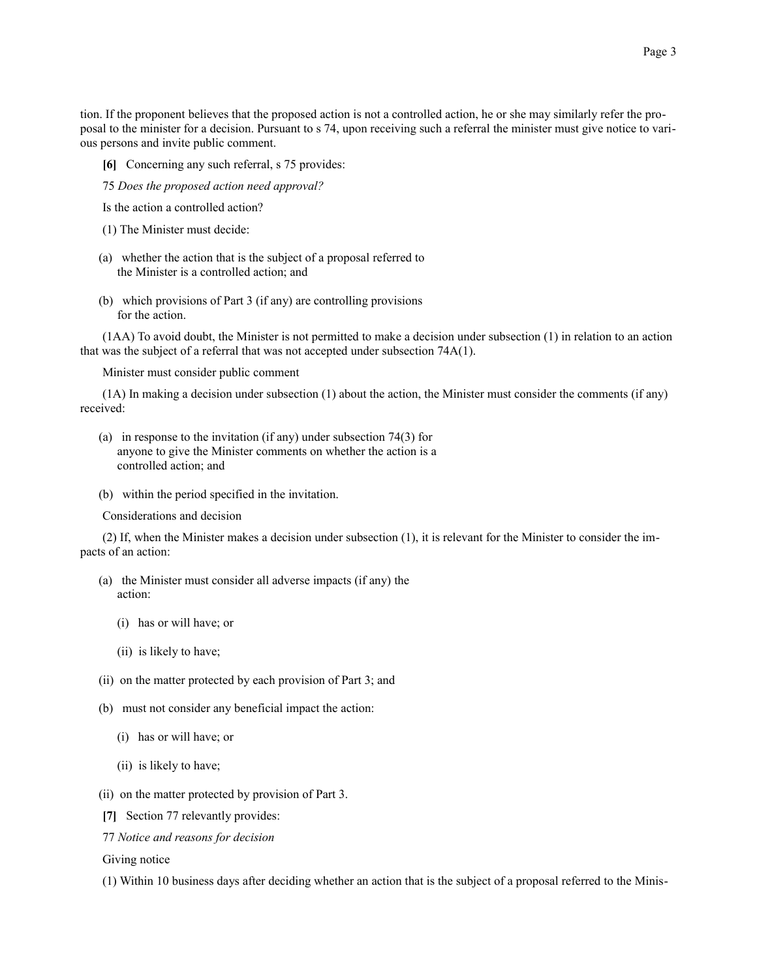tion. If the proponent believes that the proposed action is not a controlled action, he or she may similarly refer the proposal to the minister for a decision. Pursuant to s 74, upon receiving such a referral the minister must give notice to various persons and invite public comment.

- **[6]** Concerning any such referral, s 75 provides:
- 75 *Does the proposed action need approval?*
- Is the action a controlled action?
- (1) The Minister must decide:
- (a) whether the action that is the subject of a proposal referred to the Minister is a controlled action; and
- (b) which provisions of Part 3 (if any) are controlling provisions for the action.

(1AA) To avoid doubt, the Minister is not permitted to make a decision under subsection (1) in relation to an action that was the subject of a referral that was not accepted under subsection 74A(1).

Minister must consider public comment

(1A) In making a decision under subsection (1) about the action, the Minister must consider the comments (if any) received:

- (a) in response to the invitation (if any) under subsection 74(3) for anyone to give the Minister comments on whether the action is a controlled action; and
- (b) within the period specified in the invitation.

Considerations and decision

(2) If, when the Minister makes a decision under subsection (1), it is relevant for the Minister to consider the impacts of an action:

- (a) the Minister must consider all adverse impacts (if any) the action:
	- (i) has or will have; or
	- (ii) is likely to have;
- (ii) on the matter protected by each provision of Part 3; and
- (b) must not consider any beneficial impact the action:
	- (i) has or will have; or
	- (ii) is likely to have;
- (ii) on the matter protected by provision of Part 3.
- **[7]** Section 77 relevantly provides:
- 77 *Notice and reasons for decision*

Giving notice

(1) Within 10 business days after deciding whether an action that is the subject of a proposal referred to the Minis-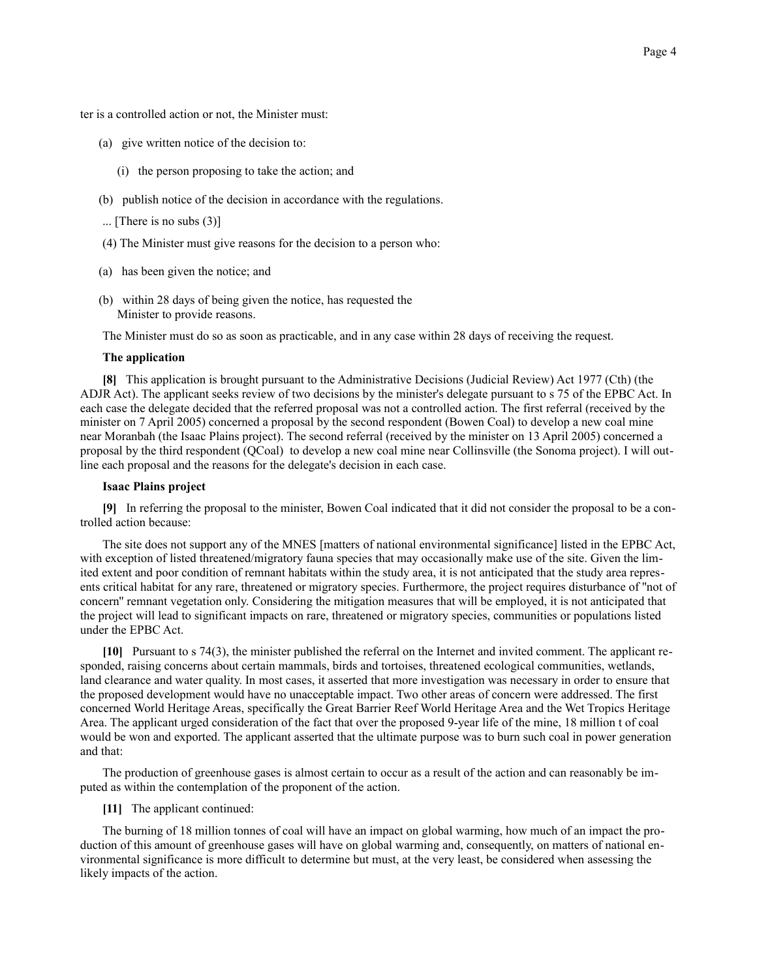ter is a controlled action or not, the Minister must:

- (a) give written notice of the decision to:
	- (i) the person proposing to take the action; and
- (b) publish notice of the decision in accordance with the regulations.
- ... [There is no subs (3)]
- (4) The Minister must give reasons for the decision to a person who:
- (a) has been given the notice; and
- (b) within 28 days of being given the notice, has requested the Minister to provide reasons.

The Minister must do so as soon as practicable, and in any case within 28 days of receiving the request.

### **The application**

**[8]** This application is brought pursuant to the Administrative Decisions (Judicial Review) Act 1977 (Cth) (the ADJR Act). The applicant seeks review of two decisions by the minister's delegate pursuant to s 75 of the EPBC Act. In each case the delegate decided that the referred proposal was not a controlled action. The first referral (received by the minister on 7 April 2005) concerned a proposal by the second respondent (Bowen Coal) to develop a new coal mine near Moranbah (the Isaac Plains project). The second referral (received by the minister on 13 April 2005) concerned a proposal by the third respondent (QCoal) to develop a new coal mine near Collinsville (the Sonoma project). I will outline each proposal and the reasons for the delegate's decision in each case.

## **Isaac Plains project**

**[9]** In referring the proposal to the minister, Bowen Coal indicated that it did not consider the proposal to be a controlled action because:

The site does not support any of the MNES [matters of national environmental significance] listed in the EPBC Act, with exception of listed threatened/migratory fauna species that may occasionally make use of the site. Given the limited extent and poor condition of remnant habitats within the study area, it is not anticipated that the study area represents critical habitat for any rare, threatened or migratory species. Furthermore, the project requires disturbance of ''not of concern'' remnant vegetation only. Considering the mitigation measures that will be employed, it is not anticipated that the project will lead to significant impacts on rare, threatened or migratory species, communities or populations listed under the EPBC Act.

**[10]** Pursuant to s 74(3), the minister published the referral on the Internet and invited comment. The applicant responded, raising concerns about certain mammals, birds and tortoises, threatened ecological communities, wetlands, land clearance and water quality. In most cases, it asserted that more investigation was necessary in order to ensure that the proposed development would have no unacceptable impact. Two other areas of concern were addressed. The first concerned World Heritage Areas, specifically the Great Barrier Reef World Heritage Area and the Wet Tropics Heritage Area. The applicant urged consideration of the fact that over the proposed 9-year life of the mine, 18 million t of coal would be won and exported. The applicant asserted that the ultimate purpose was to burn such coal in power generation and that:

The production of greenhouse gases is almost certain to occur as a result of the action and can reasonably be imputed as within the contemplation of the proponent of the action.

**[11]** The applicant continued:

The burning of 18 million tonnes of coal will have an impact on global warming, how much of an impact the production of this amount of greenhouse gases will have on global warming and, consequently, on matters of national environmental significance is more difficult to determine but must, at the very least, be considered when assessing the likely impacts of the action.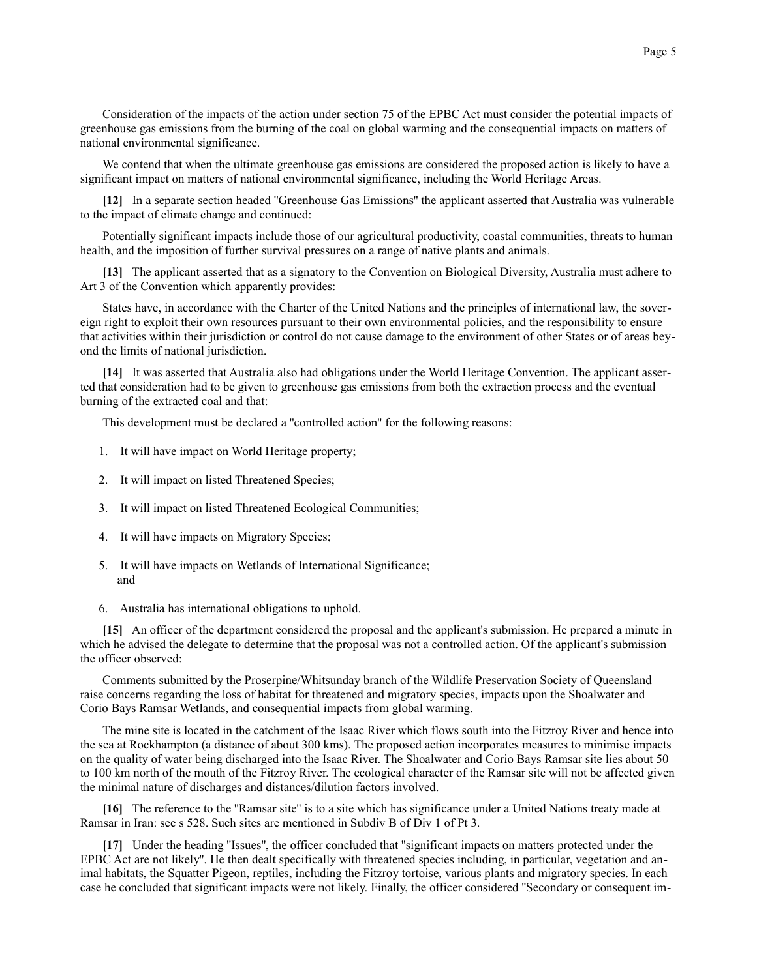Consideration of the impacts of the action under section 75 of the EPBC Act must consider the potential impacts of greenhouse gas emissions from the burning of the coal on global warming and the consequential impacts on matters of national environmental significance.

We contend that when the ultimate greenhouse gas emissions are considered the proposed action is likely to have a significant impact on matters of national environmental significance, including the World Heritage Areas.

**[12]** In a separate section headed ''Greenhouse Gas Emissions'' the applicant asserted that Australia was vulnerable to the impact of climate change and continued:

Potentially significant impacts include those of our agricultural productivity, coastal communities, threats to human health, and the imposition of further survival pressures on a range of native plants and animals.

**[13]** The applicant asserted that as a signatory to the Convention on Biological Diversity, Australia must adhere to Art 3 of the Convention which apparently provides:

States have, in accordance with the Charter of the United Nations and the principles of international law, the sovereign right to exploit their own resources pursuant to their own environmental policies, and the responsibility to ensure that activities within their jurisdiction or control do not cause damage to the environment of other States or of areas beyond the limits of national jurisdiction.

**[14]** It was asserted that Australia also had obligations under the World Heritage Convention. The applicant asserted that consideration had to be given to greenhouse gas emissions from both the extraction process and the eventual burning of the extracted coal and that:

This development must be declared a ''controlled action'' for the following reasons:

- 1. It will have impact on World Heritage property;
- 2. It will impact on listed Threatened Species;
- 3. It will impact on listed Threatened Ecological Communities;
- 4. It will have impacts on Migratory Species;
- 5. It will have impacts on Wetlands of International Significance; and
- 6. Australia has international obligations to uphold.

**[15]** An officer of the department considered the proposal and the applicant's submission. He prepared a minute in which he advised the delegate to determine that the proposal was not a controlled action. Of the applicant's submission the officer observed:

Comments submitted by the Proserpine/Whitsunday branch of the Wildlife Preservation Society of Queensland raise concerns regarding the loss of habitat for threatened and migratory species, impacts upon the Shoalwater and Corio Bays Ramsar Wetlands, and consequential impacts from global warming.

The mine site is located in the catchment of the Isaac River which flows south into the Fitzroy River and hence into the sea at Rockhampton (a distance of about 300 kms). The proposed action incorporates measures to minimise impacts on the quality of water being discharged into the Isaac River. The Shoalwater and Corio Bays Ramsar site lies about 50 to 100 km north of the mouth of the Fitzroy River. The ecological character of the Ramsar site will not be affected given the minimal nature of discharges and distances/dilution factors involved.

**[16]** The reference to the ''Ramsar site'' is to a site which has significance under a United Nations treaty made at Ramsar in Iran: see s 528. Such sites are mentioned in Subdiv B of Div 1 of Pt 3.

**[17]** Under the heading ''Issues'', the officer concluded that ''significant impacts on matters protected under the EPBC Act are not likely''. He then dealt specifically with threatened species including, in particular, vegetation and animal habitats, the Squatter Pigeon, reptiles, including the Fitzroy tortoise, various plants and migratory species. In each case he concluded that significant impacts were not likely. Finally, the officer considered ''Secondary or consequent im-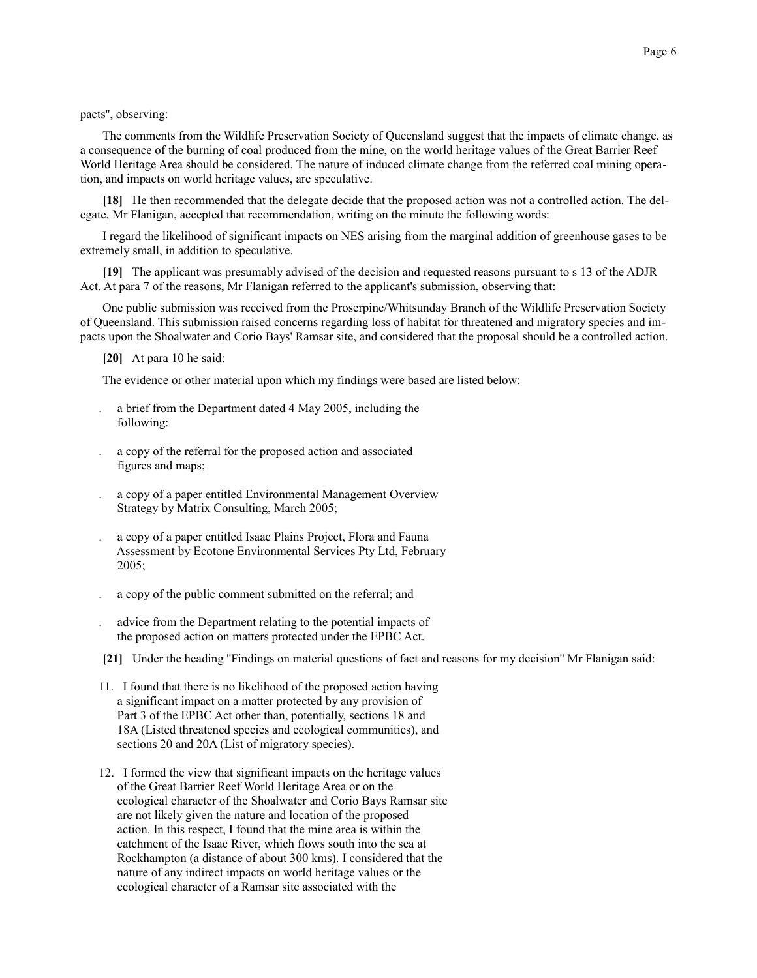The comments from the Wildlife Preservation Society of Queensland suggest that the impacts of climate change, as a consequence of the burning of coal produced from the mine, on the world heritage values of the Great Barrier Reef World Heritage Area should be considered. The nature of induced climate change from the referred coal mining operation, and impacts on world heritage values, are speculative.

**[18]** He then recommended that the delegate decide that the proposed action was not a controlled action. The delegate, Mr Flanigan, accepted that recommendation, writing on the minute the following words:

I regard the likelihood of significant impacts on NES arising from the marginal addition of greenhouse gases to be extremely small, in addition to speculative.

**[19]** The applicant was presumably advised of the decision and requested reasons pursuant to s 13 of the ADJR Act. At para 7 of the reasons, Mr Flanigan referred to the applicant's submission, observing that:

One public submission was received from the Proserpine/Whitsunday Branch of the Wildlife Preservation Society of Queensland. This submission raised concerns regarding loss of habitat for threatened and migratory species and impacts upon the Shoalwater and Corio Bays' Ramsar site, and considered that the proposal should be a controlled action.

**[20]** At para 10 he said:

The evidence or other material upon which my findings were based are listed below:

- . a brief from the Department dated 4 May 2005, including the following:
- . a copy of the referral for the proposed action and associated figures and maps;
- . a copy of a paper entitled Environmental Management Overview Strategy by Matrix Consulting, March 2005;
- . a copy of a paper entitled Isaac Plains Project, Flora and Fauna Assessment by Ecotone Environmental Services Pty Ltd, February 2005;
- . a copy of the public comment submitted on the referral; and
- . advice from the Department relating to the potential impacts of the proposed action on matters protected under the EPBC Act.

**[21]** Under the heading ''Findings on material questions of fact and reasons for my decision'' Mr Flanigan said:

- 11. I found that there is no likelihood of the proposed action having a significant impact on a matter protected by any provision of Part 3 of the EPBC Act other than, potentially, sections 18 and 18A (Listed threatened species and ecological communities), and sections 20 and 20A (List of migratory species).
- 12. I formed the view that significant impacts on the heritage values of the Great Barrier Reef World Heritage Area or on the ecological character of the Shoalwater and Corio Bays Ramsar site are not likely given the nature and location of the proposed action. In this respect, I found that the mine area is within the catchment of the Isaac River, which flows south into the sea at Rockhampton (a distance of about 300 kms). I considered that the nature of any indirect impacts on world heritage values or the ecological character of a Ramsar site associated with the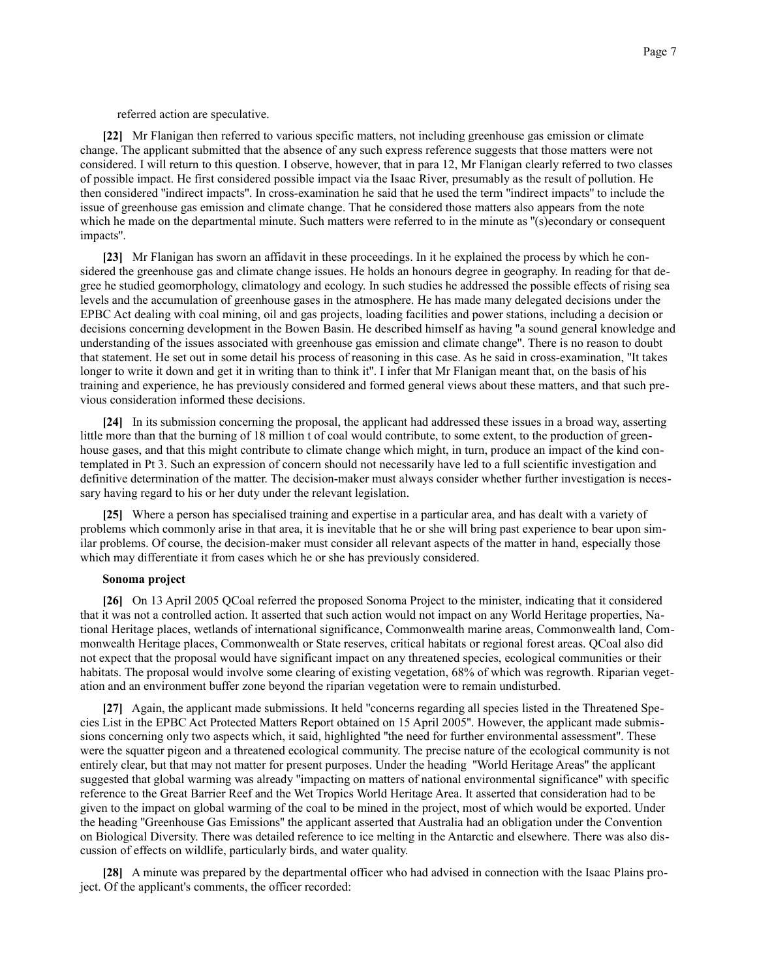referred action are speculative.

**[22]** Mr Flanigan then referred to various specific matters, not including greenhouse gas emission or climate change. The applicant submitted that the absence of any such express reference suggests that those matters were not considered. I will return to this question. I observe, however, that in para 12, Mr Flanigan clearly referred to two classes of possible impact. He first considered possible impact via the Isaac River, presumably as the result of pollution. He then considered ''indirect impacts''. In cross-examination he said that he used the term ''indirect impacts'' to include the issue of greenhouse gas emission and climate change. That he considered those matters also appears from the note which he made on the departmental minute. Such matters were referred to in the minute as "(s)econdary or consequent impacts''.

**[23]** Mr Flanigan has sworn an affidavit in these proceedings. In it he explained the process by which he considered the greenhouse gas and climate change issues. He holds an honours degree in geography. In reading for that degree he studied geomorphology, climatology and ecology. In such studies he addressed the possible effects of rising sea levels and the accumulation of greenhouse gases in the atmosphere. He has made many delegated decisions under the EPBC Act dealing with coal mining, oil and gas projects, loading facilities and power stations, including a decision or decisions concerning development in the Bowen Basin. He described himself as having ''a sound general knowledge and understanding of the issues associated with greenhouse gas emission and climate change''. There is no reason to doubt that statement. He set out in some detail his process of reasoning in this case. As he said in cross-examination, ''It takes longer to write it down and get it in writing than to think it''. I infer that Mr Flanigan meant that, on the basis of his training and experience, he has previously considered and formed general views about these matters, and that such previous consideration informed these decisions.

**[24]** In its submission concerning the proposal, the applicant had addressed these issues in a broad way, asserting little more than that the burning of 18 million t of coal would contribute, to some extent, to the production of greenhouse gases, and that this might contribute to climate change which might, in turn, produce an impact of the kind contemplated in Pt 3. Such an expression of concern should not necessarily have led to a full scientific investigation and definitive determination of the matter. The decision-maker must always consider whether further investigation is necessary having regard to his or her duty under the relevant legislation.

**[25]** Where a person has specialised training and expertise in a particular area, and has dealt with a variety of problems which commonly arise in that area, it is inevitable that he or she will bring past experience to bear upon similar problems. Of course, the decision-maker must consider all relevant aspects of the matter in hand, especially those which may differentiate it from cases which he or she has previously considered.

#### **Sonoma project**

**[26]** On 13 April 2005 QCoal referred the proposed Sonoma Project to the minister, indicating that it considered that it was not a controlled action. It asserted that such action would not impact on any World Heritage properties, National Heritage places, wetlands of international significance, Commonwealth marine areas, Commonwealth land, Commonwealth Heritage places, Commonwealth or State reserves, critical habitats or regional forest areas. QCoal also did not expect that the proposal would have significant impact on any threatened species, ecological communities or their habitats. The proposal would involve some clearing of existing vegetation, 68% of which was regrowth. Riparian vegetation and an environment buffer zone beyond the riparian vegetation were to remain undisturbed.

**[27]** Again, the applicant made submissions. It held ''concerns regarding all species listed in the Threatened Species List in the EPBC Act Protected Matters Report obtained on 15 April 2005''. However, the applicant made submissions concerning only two aspects which, it said, highlighted ''the need for further environmental assessment''. These were the squatter pigeon and a threatened ecological community. The precise nature of the ecological community is not entirely clear, but that may not matter for present purposes. Under the heading ''World Heritage Areas'' the applicant suggested that global warming was already ''impacting on matters of national environmental significance'' with specific reference to the Great Barrier Reef and the Wet Tropics World Heritage Area. It asserted that consideration had to be given to the impact on global warming of the coal to be mined in the project, most of which would be exported. Under the heading ''Greenhouse Gas Emissions'' the applicant asserted that Australia had an obligation under the Convention on Biological Diversity. There was detailed reference to ice melting in the Antarctic and elsewhere. There was also discussion of effects on wildlife, particularly birds, and water quality.

**[28]** A minute was prepared by the departmental officer who had advised in connection with the Isaac Plains project. Of the applicant's comments, the officer recorded: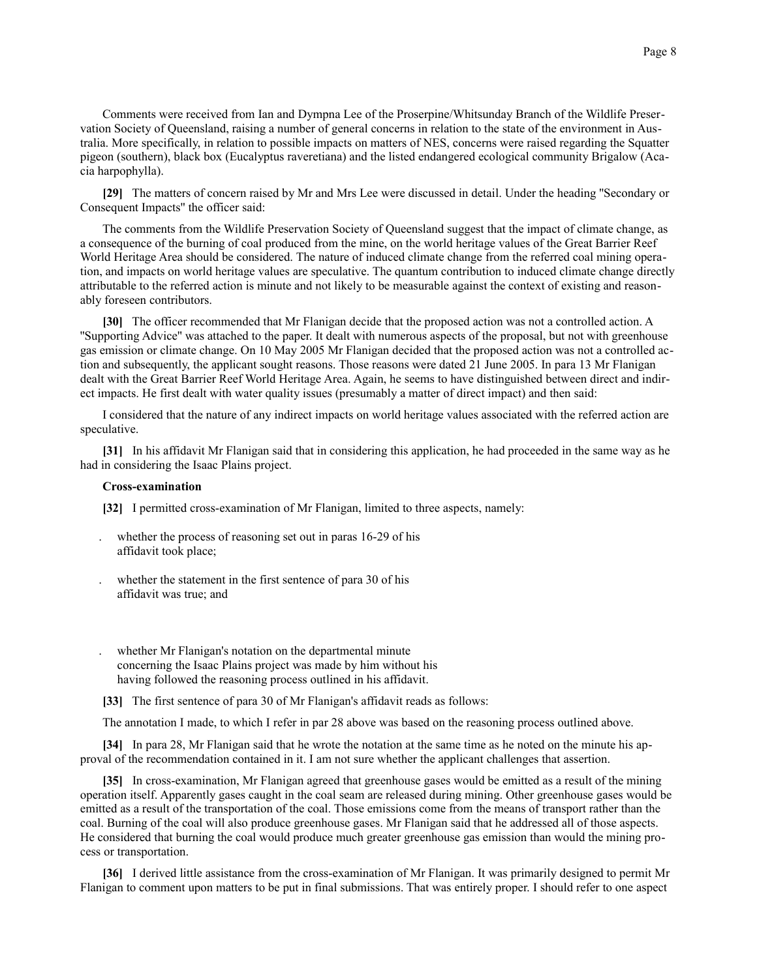Comments were received from Ian and Dympna Lee of the Proserpine/Whitsunday Branch of the Wildlife Preservation Society of Queensland, raising a number of general concerns in relation to the state of the environment in Australia. More specifically, in relation to possible impacts on matters of NES, concerns were raised regarding the Squatter pigeon (southern), black box (Eucalyptus raveretiana) and the listed endangered ecological community Brigalow (Acacia harpophylla).

**[29]** The matters of concern raised by Mr and Mrs Lee were discussed in detail. Under the heading ''Secondary or Consequent Impacts'' the officer said:

The comments from the Wildlife Preservation Society of Queensland suggest that the impact of climate change, as a consequence of the burning of coal produced from the mine, on the world heritage values of the Great Barrier Reef World Heritage Area should be considered. The nature of induced climate change from the referred coal mining operation, and impacts on world heritage values are speculative. The quantum contribution to induced climate change directly attributable to the referred action is minute and not likely to be measurable against the context of existing and reasonably foreseen contributors.

**[30]** The officer recommended that Mr Flanigan decide that the proposed action was not a controlled action. A ''Supporting Advice'' was attached to the paper. It dealt with numerous aspects of the proposal, but not with greenhouse gas emission or climate change. On 10 May 2005 Mr Flanigan decided that the proposed action was not a controlled action and subsequently, the applicant sought reasons. Those reasons were dated 21 June 2005. In para 13 Mr Flanigan dealt with the Great Barrier Reef World Heritage Area. Again, he seems to have distinguished between direct and indirect impacts. He first dealt with water quality issues (presumably a matter of direct impact) and then said:

I considered that the nature of any indirect impacts on world heritage values associated with the referred action are speculative.

**[31]** In his affidavit Mr Flanigan said that in considering this application, he had proceeded in the same way as he had in considering the Isaac Plains project.

#### **Cross-examination**

**[32]** I permitted cross-examination of Mr Flanigan, limited to three aspects, namely:

- . whether the process of reasoning set out in paras 16-29 of his affidavit took place;
- whether the statement in the first sentence of para 30 of his affidavit was true; and
- . whether Mr Flanigan's notation on the departmental minute concerning the Isaac Plains project was made by him without his having followed the reasoning process outlined in his affidavit.
- **[33]** The first sentence of para 30 of Mr Flanigan's affidavit reads as follows:

The annotation I made, to which I refer in par 28 above was based on the reasoning process outlined above.

**[34]** In para 28, Mr Flanigan said that he wrote the notation at the same time as he noted on the minute his approval of the recommendation contained in it. I am not sure whether the applicant challenges that assertion.

**[35]** In cross-examination, Mr Flanigan agreed that greenhouse gases would be emitted as a result of the mining operation itself. Apparently gases caught in the coal seam are released during mining. Other greenhouse gases would be emitted as a result of the transportation of the coal. Those emissions come from the means of transport rather than the coal. Burning of the coal will also produce greenhouse gases. Mr Flanigan said that he addressed all of those aspects. He considered that burning the coal would produce much greater greenhouse gas emission than would the mining process or transportation.

**[36]** I derived little assistance from the cross-examination of Mr Flanigan. It was primarily designed to permit Mr Flanigan to comment upon matters to be put in final submissions. That was entirely proper. I should refer to one aspect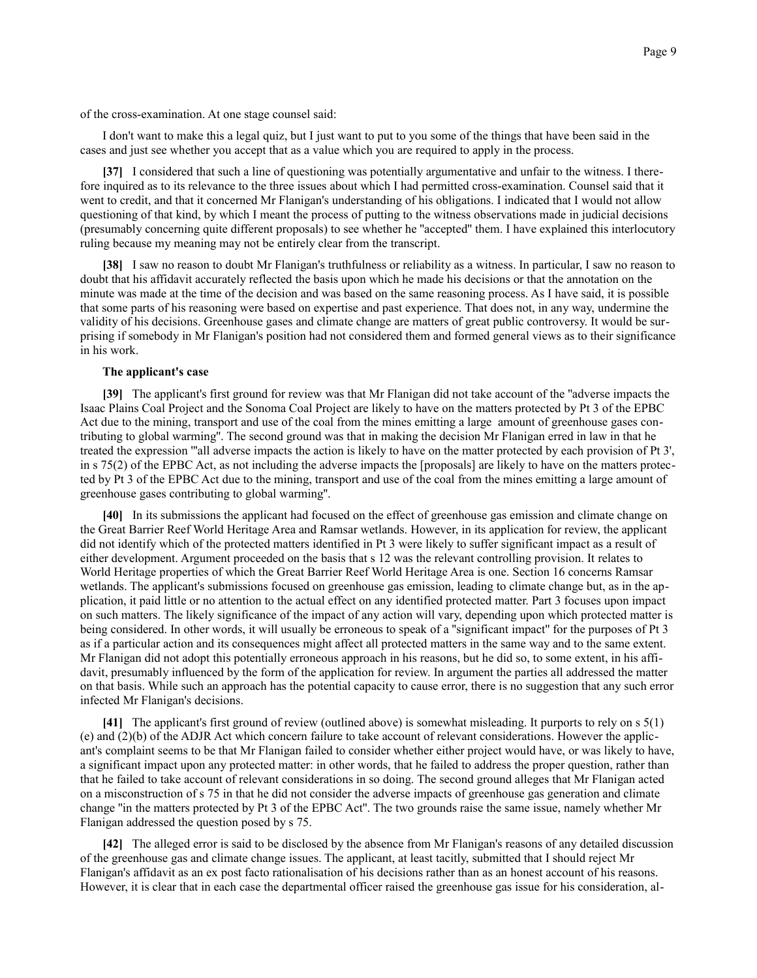of the cross-examination. At one stage counsel said:

I don't want to make this a legal quiz, but I just want to put to you some of the things that have been said in the cases and just see whether you accept that as a value which you are required to apply in the process.

**[37]** I considered that such a line of questioning was potentially argumentative and unfair to the witness. I therefore inquired as to its relevance to the three issues about which I had permitted cross-examination. Counsel said that it went to credit, and that it concerned Mr Flanigan's understanding of his obligations. I indicated that I would not allow questioning of that kind, by which I meant the process of putting to the witness observations made in judicial decisions (presumably concerning quite different proposals) to see whether he ''accepted'' them. I have explained this interlocutory ruling because my meaning may not be entirely clear from the transcript.

**[38]** I saw no reason to doubt Mr Flanigan's truthfulness or reliability as a witness. In particular, I saw no reason to doubt that his affidavit accurately reflected the basis upon which he made his decisions or that the annotation on the minute was made at the time of the decision and was based on the same reasoning process. As I have said, it is possible that some parts of his reasoning were based on expertise and past experience. That does not, in any way, undermine the validity of his decisions. Greenhouse gases and climate change are matters of great public controversy. It would be surprising if somebody in Mr Flanigan's position had not considered them and formed general views as to their significance in his work.

## **The applicant's case**

**[39]** The applicant's first ground for review was that Mr Flanigan did not take account of the ''adverse impacts the Isaac Plains Coal Project and the Sonoma Coal Project are likely to have on the matters protected by Pt 3 of the EPBC Act due to the mining, transport and use of the coal from the mines emitting a large amount of greenhouse gases contributing to global warming''. The second ground was that in making the decision Mr Flanigan erred in law in that he treated the expression '''all adverse impacts the action is likely to have on the matter protected by each provision of Pt 3', in s 75(2) of the EPBC Act, as not including the adverse impacts the [proposals] are likely to have on the matters protected by Pt 3 of the EPBC Act due to the mining, transport and use of the coal from the mines emitting a large amount of greenhouse gases contributing to global warming''.

**[40]** In its submissions the applicant had focused on the effect of greenhouse gas emission and climate change on the Great Barrier Reef World Heritage Area and Ramsar wetlands. However, in its application for review, the applicant did not identify which of the protected matters identified in Pt 3 were likely to suffer significant impact as a result of either development. Argument proceeded on the basis that s 12 was the relevant controlling provision. It relates to World Heritage properties of which the Great Barrier Reef World Heritage Area is one. Section 16 concerns Ramsar wetlands. The applicant's submissions focused on greenhouse gas emission, leading to climate change but, as in the application, it paid little or no attention to the actual effect on any identified protected matter. Part 3 focuses upon impact on such matters. The likely significance of the impact of any action will vary, depending upon which protected matter is being considered. In other words, it will usually be erroneous to speak of a ''significant impact'' for the purposes of Pt 3 as if a particular action and its consequences might affect all protected matters in the same way and to the same extent. Mr Flanigan did not adopt this potentially erroneous approach in his reasons, but he did so, to some extent, in his affidavit, presumably influenced by the form of the application for review. In argument the parties all addressed the matter on that basis. While such an approach has the potential capacity to cause error, there is no suggestion that any such error infected Mr Flanigan's decisions.

**[41]** The applicant's first ground of review (outlined above) is somewhat misleading. It purports to rely on s 5(1) (e) and (2)(b) of the ADJR Act which concern failure to take account of relevant considerations. However the applicant's complaint seems to be that Mr Flanigan failed to consider whether either project would have, or was likely to have, a significant impact upon any protected matter: in other words, that he failed to address the proper question, rather than that he failed to take account of relevant considerations in so doing. The second ground alleges that Mr Flanigan acted on a misconstruction of s 75 in that he did not consider the adverse impacts of greenhouse gas generation and climate change ''in the matters protected by Pt 3 of the EPBC Act''. The two grounds raise the same issue, namely whether Mr Flanigan addressed the question posed by s 75.

**[42]** The alleged error is said to be disclosed by the absence from Mr Flanigan's reasons of any detailed discussion of the greenhouse gas and climate change issues. The applicant, at least tacitly, submitted that I should reject Mr Flanigan's affidavit as an ex post facto rationalisation of his decisions rather than as an honest account of his reasons. However, it is clear that in each case the departmental officer raised the greenhouse gas issue for his consideration, al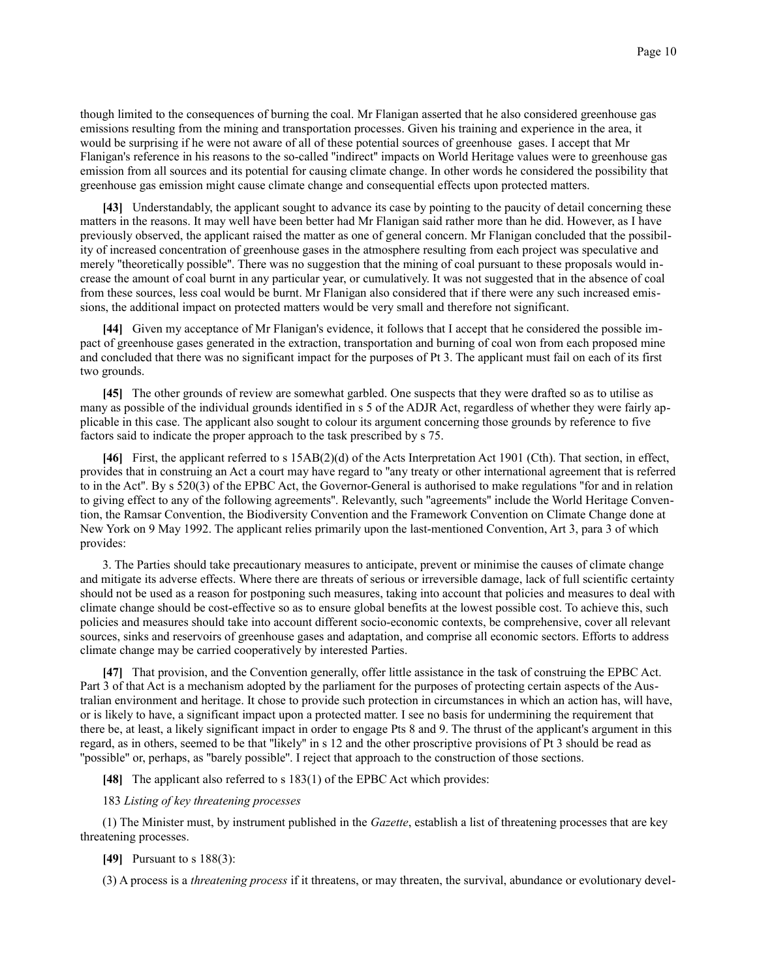though limited to the consequences of burning the coal. Mr Flanigan asserted that he also considered greenhouse gas emissions resulting from the mining and transportation processes. Given his training and experience in the area, it would be surprising if he were not aware of all of these potential sources of greenhouse gases. I accept that Mr Flanigan's reference in his reasons to the so-called ''indirect'' impacts on World Heritage values were to greenhouse gas emission from all sources and its potential for causing climate change. In other words he considered the possibility that greenhouse gas emission might cause climate change and consequential effects upon protected matters.

**[43]** Understandably, the applicant sought to advance its case by pointing to the paucity of detail concerning these matters in the reasons. It may well have been better had Mr Flanigan said rather more than he did. However, as I have previously observed, the applicant raised the matter as one of general concern. Mr Flanigan concluded that the possibility of increased concentration of greenhouse gases in the atmosphere resulting from each project was speculative and merely "theoretically possible". There was no suggestion that the mining of coal pursuant to these proposals would increase the amount of coal burnt in any particular year, or cumulatively. It was not suggested that in the absence of coal from these sources, less coal would be burnt. Mr Flanigan also considered that if there were any such increased emissions, the additional impact on protected matters would be very small and therefore not significant.

**[44]** Given my acceptance of Mr Flanigan's evidence, it follows that I accept that he considered the possible impact of greenhouse gases generated in the extraction, transportation and burning of coal won from each proposed mine and concluded that there was no significant impact for the purposes of Pt 3. The applicant must fail on each of its first two grounds.

**[45]** The other grounds of review are somewhat garbled. One suspects that they were drafted so as to utilise as many as possible of the individual grounds identified in s 5 of the ADJR Act, regardless of whether they were fairly applicable in this case. The applicant also sought to colour its argument concerning those grounds by reference to five factors said to indicate the proper approach to the task prescribed by s 75.

**[46]** First, the applicant referred to s 15AB(2)(d) of the Acts Interpretation Act 1901 (Cth). That section, in effect, provides that in construing an Act a court may have regard to ''any treaty or other international agreement that is referred to in the Act''. By s 520(3) of the EPBC Act, the Governor-General is authorised to make regulations ''for and in relation to giving effect to any of the following agreements''. Relevantly, such ''agreements'' include the World Heritage Convention, the Ramsar Convention, the Biodiversity Convention and the Framework Convention on Climate Change done at New York on 9 May 1992. The applicant relies primarily upon the last-mentioned Convention, Art 3, para 3 of which provides:

3. The Parties should take precautionary measures to anticipate, prevent or minimise the causes of climate change and mitigate its adverse effects. Where there are threats of serious or irreversible damage, lack of full scientific certainty should not be used as a reason for postponing such measures, taking into account that policies and measures to deal with climate change should be cost-effective so as to ensure global benefits at the lowest possible cost. To achieve this, such policies and measures should take into account different socio-economic contexts, be comprehensive, cover all relevant sources, sinks and reservoirs of greenhouse gases and adaptation, and comprise all economic sectors. Efforts to address climate change may be carried cooperatively by interested Parties.

**[47]** That provision, and the Convention generally, offer little assistance in the task of construing the EPBC Act. Part 3 of that Act is a mechanism adopted by the parliament for the purposes of protecting certain aspects of the Australian environment and heritage. It chose to provide such protection in circumstances in which an action has, will have, or is likely to have, a significant impact upon a protected matter. I see no basis for undermining the requirement that there be, at least, a likely significant impact in order to engage Pts 8 and 9. The thrust of the applicant's argument in this regard, as in others, seemed to be that ''likely'' in s 12 and the other proscriptive provisions of Pt 3 should be read as ''possible'' or, perhaps, as ''barely possible''. I reject that approach to the construction of those sections.

**[48]** The applicant also referred to s 183(1) of the EPBC Act which provides:

#### 183 *Listing of key threatening processes*

(1) The Minister must, by instrument published in the *Gazette*, establish a list of threatening processes that are key threatening processes.

### **[49]** Pursuant to s 188(3):

(3) A process is a *threatening process* if it threatens, or may threaten, the survival, abundance or evolutionary devel-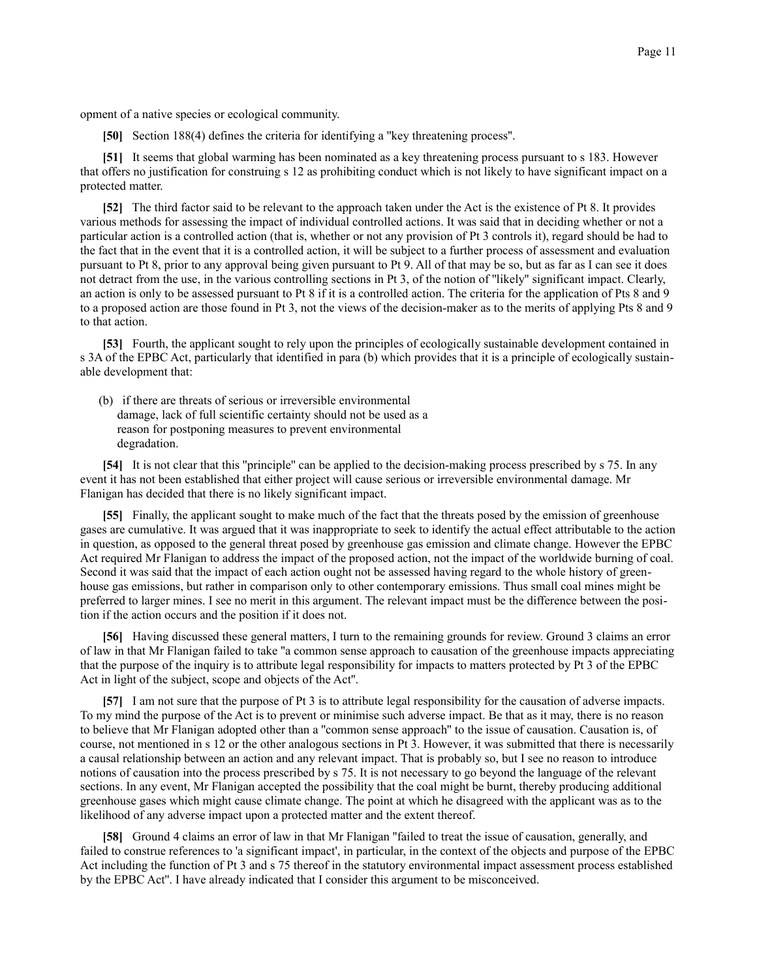opment of a native species or ecological community.

**[50]** Section 188(4) defines the criteria for identifying a ''key threatening process''.

**[51]** It seems that global warming has been nominated as a key threatening process pursuant to s 183. However that offers no justification for construing s 12 as prohibiting conduct which is not likely to have significant impact on a protected matter.

**[52]** The third factor said to be relevant to the approach taken under the Act is the existence of Pt 8. It provides various methods for assessing the impact of individual controlled actions. It was said that in deciding whether or not a particular action is a controlled action (that is, whether or not any provision of Pt 3 controls it), regard should be had to the fact that in the event that it is a controlled action, it will be subject to a further process of assessment and evaluation pursuant to Pt 8, prior to any approval being given pursuant to Pt 9. All of that may be so, but as far as I can see it does not detract from the use, in the various controlling sections in Pt 3, of the notion of ''likely'' significant impact. Clearly, an action is only to be assessed pursuant to Pt 8 if it is a controlled action. The criteria for the application of Pts 8 and 9 to a proposed action are those found in Pt 3, not the views of the decision-maker as to the merits of applying Pts 8 and 9 to that action.

**[53]** Fourth, the applicant sought to rely upon the principles of ecologically sustainable development contained in s 3A of the EPBC Act, particularly that identified in para (b) which provides that it is a principle of ecologically sustainable development that:

 (b) if there are threats of serious or irreversible environmental damage, lack of full scientific certainty should not be used as a reason for postponing measures to prevent environmental degradation.

**[54]** It is not clear that this "principle" can be applied to the decision-making process prescribed by s 75. In any event it has not been established that either project will cause serious or irreversible environmental damage. Mr Flanigan has decided that there is no likely significant impact.

**[55]** Finally, the applicant sought to make much of the fact that the threats posed by the emission of greenhouse gases are cumulative. It was argued that it was inappropriate to seek to identify the actual effect attributable to the action in question, as opposed to the general threat posed by greenhouse gas emission and climate change. However the EPBC Act required Mr Flanigan to address the impact of the proposed action, not the impact of the worldwide burning of coal. Second it was said that the impact of each action ought not be assessed having regard to the whole history of greenhouse gas emissions, but rather in comparison only to other contemporary emissions. Thus small coal mines might be preferred to larger mines. I see no merit in this argument. The relevant impact must be the difference between the position if the action occurs and the position if it does not.

**[56]** Having discussed these general matters, I turn to the remaining grounds for review. Ground 3 claims an error of law in that Mr Flanigan failed to take ''a common sense approach to causation of the greenhouse impacts appreciating that the purpose of the inquiry is to attribute legal responsibility for impacts to matters protected by Pt 3 of the EPBC Act in light of the subject, scope and objects of the Act''.

**[57]** I am not sure that the purpose of Pt 3 is to attribute legal responsibility for the causation of adverse impacts. To my mind the purpose of the Act is to prevent or minimise such adverse impact. Be that as it may, there is no reason to believe that Mr Flanigan adopted other than a ''common sense approach'' to the issue of causation. Causation is, of course, not mentioned in s 12 or the other analogous sections in Pt 3. However, it was submitted that there is necessarily a causal relationship between an action and any relevant impact. That is probably so, but I see no reason to introduce notions of causation into the process prescribed by s 75. It is not necessary to go beyond the language of the relevant sections. In any event, Mr Flanigan accepted the possibility that the coal might be burnt, thereby producing additional greenhouse gases which might cause climate change. The point at which he disagreed with the applicant was as to the likelihood of any adverse impact upon a protected matter and the extent thereof.

**[58]** Ground 4 claims an error of law in that Mr Flanigan ''failed to treat the issue of causation, generally, and failed to construe references to 'a significant impact', in particular, in the context of the objects and purpose of the EPBC Act including the function of Pt 3 and s 75 thereof in the statutory environmental impact assessment process established by the EPBC Act''. I have already indicated that I consider this argument to be misconceived.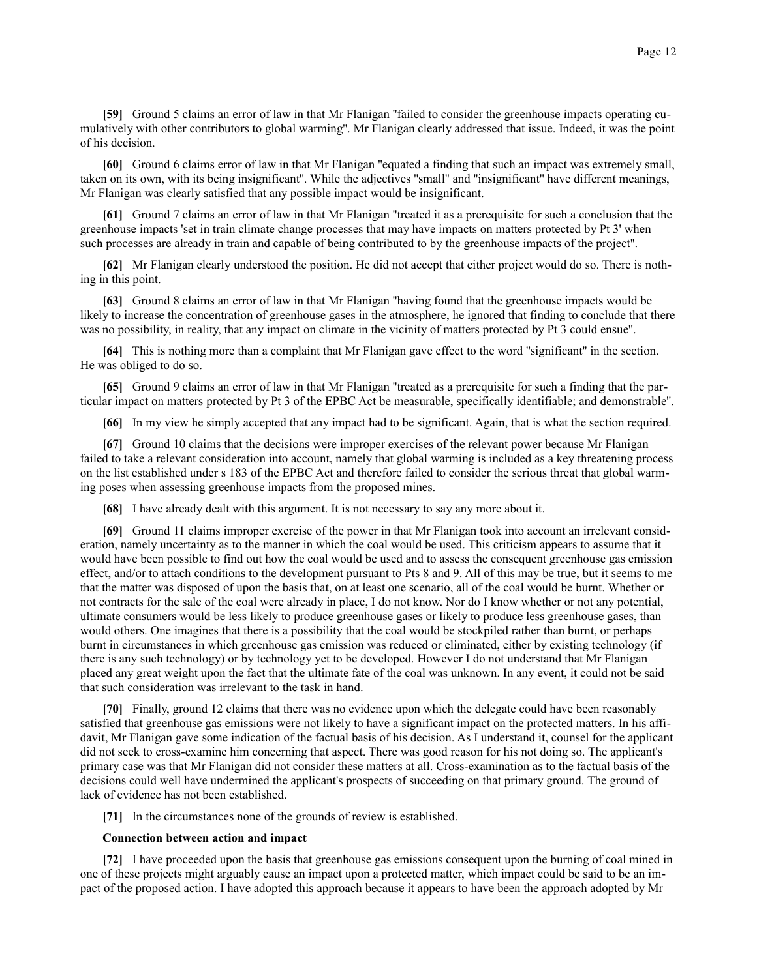**[59]** Ground 5 claims an error of law in that Mr Flanigan ''failed to consider the greenhouse impacts operating cumulatively with other contributors to global warming''. Mr Flanigan clearly addressed that issue. Indeed, it was the point of his decision.

**[60]** Ground 6 claims error of law in that Mr Flanigan ''equated a finding that such an impact was extremely small, taken on its own, with its being insignificant''. While the adjectives ''small'' and ''insignificant'' have different meanings, Mr Flanigan was clearly satisfied that any possible impact would be insignificant.

**[61]** Ground 7 claims an error of law in that Mr Flanigan ''treated it as a prerequisite for such a conclusion that the greenhouse impacts 'set in train climate change processes that may have impacts on matters protected by Pt 3' when such processes are already in train and capable of being contributed to by the greenhouse impacts of the project''.

**[62]** Mr Flanigan clearly understood the position. He did not accept that either project would do so. There is nothing in this point.

**[63]** Ground 8 claims an error of law in that Mr Flanigan ''having found that the greenhouse impacts would be likely to increase the concentration of greenhouse gases in the atmosphere, he ignored that finding to conclude that there was no possibility, in reality, that any impact on climate in the vicinity of matters protected by Pt 3 could ensue''.

**[64]** This is nothing more than a complaint that Mr Flanigan gave effect to the word ''significant'' in the section. He was obliged to do so.

**[65]** Ground 9 claims an error of law in that Mr Flanigan ''treated as a prerequisite for such a finding that the particular impact on matters protected by Pt 3 of the EPBC Act be measurable, specifically identifiable; and demonstrable''.

**[66]** In my view he simply accepted that any impact had to be significant. Again, that is what the section required.

**[67]** Ground 10 claims that the decisions were improper exercises of the relevant power because Mr Flanigan failed to take a relevant consideration into account, namely that global warming is included as a key threatening process on the list established under s 183 of the EPBC Act and therefore failed to consider the serious threat that global warming poses when assessing greenhouse impacts from the proposed mines.

**[68]** I have already dealt with this argument. It is not necessary to say any more about it.

**[69]** Ground 11 claims improper exercise of the power in that Mr Flanigan took into account an irrelevant consideration, namely uncertainty as to the manner in which the coal would be used. This criticism appears to assume that it would have been possible to find out how the coal would be used and to assess the consequent greenhouse gas emission effect, and/or to attach conditions to the development pursuant to Pts 8 and 9. All of this may be true, but it seems to me that the matter was disposed of upon the basis that, on at least one scenario, all of the coal would be burnt. Whether or not contracts for the sale of the coal were already in place, I do not know. Nor do I know whether or not any potential, ultimate consumers would be less likely to produce greenhouse gases or likely to produce less greenhouse gases, than would others. One imagines that there is a possibility that the coal would be stockpiled rather than burnt, or perhaps burnt in circumstances in which greenhouse gas emission was reduced or eliminated, either by existing technology (if there is any such technology) or by technology yet to be developed. However I do not understand that Mr Flanigan placed any great weight upon the fact that the ultimate fate of the coal was unknown. In any event, it could not be said that such consideration was irrelevant to the task in hand.

**[70]** Finally, ground 12 claims that there was no evidence upon which the delegate could have been reasonably satisfied that greenhouse gas emissions were not likely to have a significant impact on the protected matters. In his affidavit, Mr Flanigan gave some indication of the factual basis of his decision. As I understand it, counsel for the applicant did not seek to cross-examine him concerning that aspect. There was good reason for his not doing so. The applicant's primary case was that Mr Flanigan did not consider these matters at all. Cross-examination as to the factual basis of the decisions could well have undermined the applicant's prospects of succeeding on that primary ground. The ground of lack of evidence has not been established.

**[71]** In the circumstances none of the grounds of review is established.

## **Connection between action and impact**

**[72]** I have proceeded upon the basis that greenhouse gas emissions consequent upon the burning of coal mined in one of these projects might arguably cause an impact upon a protected matter, which impact could be said to be an impact of the proposed action. I have adopted this approach because it appears to have been the approach adopted by Mr